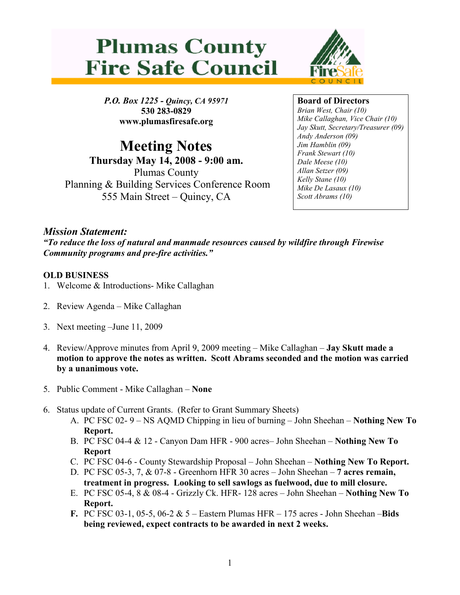



P.O. Box 1225 - Quincy, CA 95971 530 283-0829 www.plumasfiresafe.org

Meeting Notes Thursday May 14, 2008 - 9:00 am. Plumas County Planning & Building Services Conference Room 555 Main Street – Quincy, CA

#### Board of Directors

Brian West, Chair (10) Mike Callaghan, Vice Chair (10) Jay Skutt, Secretary/Treasurer (09) Andy Anderson (09) Jim Hamblin (09) Frank Stewart (10) Dale Meese (10) Allan Setzer (09) Kelly Stane (10) Mike De Lasaux (10) Scott Abrams (10)

# Mission Statement:

"To reduce the loss of natural and manmade resources caused by wildfire through Firewise Community programs and pre-fire activities."

### OLD BUSINESS

- 1. Welcome & Introductions- Mike Callaghan
- 2. Review Agenda Mike Callaghan
- 3. Next meeting –June 11, 2009
- 4. Review/Approve minutes from April 9, 2009 meeting Mike Callaghan Jay Skutt made a motion to approve the notes as written. Scott Abrams seconded and the motion was carried by a unanimous vote.
- 5. Public Comment Mike Callaghan None
- 6. Status update of Current Grants. (Refer to Grant Summary Sheets)
	- A. PC FSC 02-  $9 NS$  AQMD Chipping in lieu of burning  $-$  John Sheehan  $-$  **Nothing New To** Report.
	- B. PC FSC 04-4 & 12 Canyon Dam HFR 900 acres– John Sheehan Nothing New To Report
	- C. PC FSC 04-6 County Stewardship Proposal John Sheehan Nothing New To Report.
	- D. PC FSC 05-3, 7, & 07-8 Greenhorn HFR 30 acres John Sheehan 7 acres remain, treatment in progress. Looking to sell sawlogs as fuelwood, due to mill closure.
	- E. PC FSC 05-4, 8 & 08-4 Grizzly Ck. HFR- 128 acres John Sheehan Nothing New To Report.
	- F. PC FSC 03-1, 05-5, 06-2  $& 5 -$  Eastern Plumas HFR  $-175$  acres John Sheehan  $-Bids$ being reviewed, expect contracts to be awarded in next 2 weeks.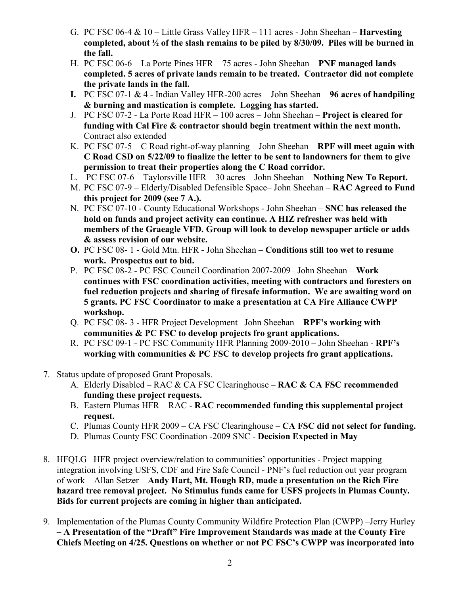- G. PC FSC 06-4  $& 10 -$  Little Grass Valley HFR 111 acres John Sheehan **Harvesting** completed, about  $\frac{1}{2}$  of the slash remains to be piled by 8/30/09. Piles will be burned in the fall.
- H. PC FSC 06-6 La Porte Pines HFR 75 acres John Sheehan PNF managed lands completed. 5 acres of private lands remain to be treated. Contractor did not complete the private lands in the fall.
- I. PC FSC 07-1  $&$  4 Indian Valley HFR-200 acres John Sheehan 96 acres of handpiling & burning and mastication is complete. Logging has started.
- J. PC FSC 07-2 La Porte Road HFR 100 acres John Sheehan Project is cleared for funding with Cal Fire & contractor should begin treatment within the next month. Contract also extended
- K. PC FSC 07-5 C Road right-of-way planning John Sheehan RPF will meet again with C Road CSD on 5/22/09 to finalize the letter to be sent to landowners for them to give permission to treat their properties along the C Road corridor.
- L. PC FSC 07-6 Taylorsville HFR 30 acres John Sheehan Nothing New To Report.
- M. PC FSC 07-9 Elderly/Disabled Defensible Space– John Sheehan RAC Agreed to Fund this project for 2009 (see 7 A.).
- N. PC FSC 07-10 County Educational Workshops John Sheehan SNC has released the hold on funds and project activity can continue. A HIZ refresher was held with members of the Graeagle VFD. Group will look to develop newspaper article or adds & assess revision of our website.
- O. PC FSC 08- 1 Gold Mtn. HFR John Sheehan Conditions still too wet to resume work. Prospectus out to bid.
- P. PC FSC 08-2 PC FSC Council Coordination 2007-2009– John Sheehan Work continues with FSC coordination activities, meeting with contractors and foresters on fuel reduction projects and sharing of firesafe information. We are awaiting word on 5 grants. PC FSC Coordinator to make a presentation at CA Fire Alliance CWPP workshop.
- Q. PC FSC 08- 3 HFR Project Development –John Sheehan RPF's working with communities & PC FSC to develop projects fro grant applications.
- R. PC FSC 09-1 PC FSC Community HFR Planning 2009-2010 John Sheehan RPF's working with communities & PC FSC to develop projects fro grant applications.
- 7. Status update of proposed Grant Proposals.
	- A. Elderly Disabled RAC & CA FSC Clearinghouse RAC & CA FSC recommended funding these project requests.
	- B. Eastern Plumas HFR RAC RAC recommended funding this supplemental project request.
	- C. Plumas County HFR 2009 CA FSC Clearinghouse CA FSC did not select for funding.
	- D. Plumas County FSC Coordination -2009 SNC Decision Expected in May
- 8. HFQLG –HFR project overview/relation to communities' opportunities Project mapping integration involving USFS, CDF and Fire Safe Council - PNF's fuel reduction out year program of work – Allan Setzer – Andy Hart, Mt. Hough RD, made a presentation on the Rich Fire hazard tree removal project. No Stimulus funds came for USFS projects in Plumas County. Bids for current projects are coming in higher than anticipated.
- 9. Implementation of the Plumas County Community Wildfire Protection Plan (CWPP) –Jerry Hurley – A Presentation of the "Draft" Fire Improvement Standards was made at the County Fire Chiefs Meeting on 4/25. Questions on whether or not PC FSC's CWPP was incorporated into